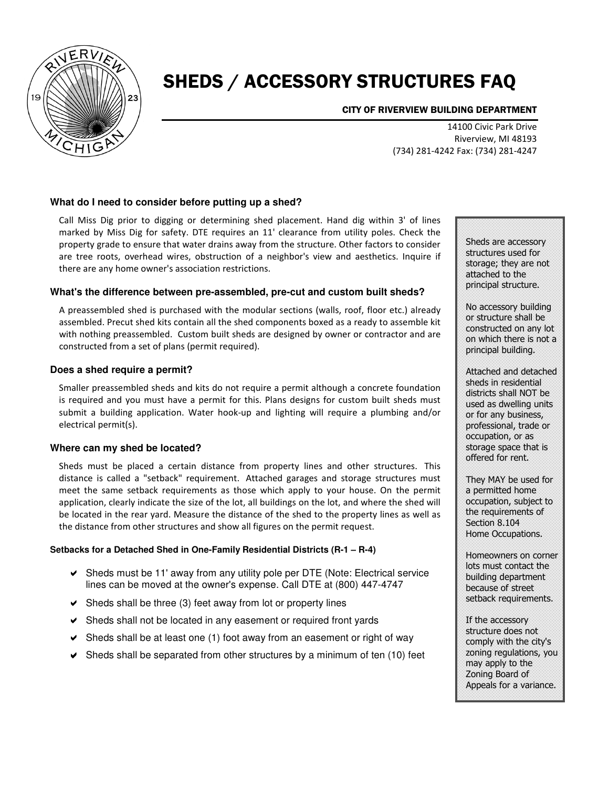

# SHEDS / ACCESSORY STRUCTURES FAQ

CITY OF RIVERVIEW BUILDING DEPARTMENT

14100 Civic Park Drive Riverview, MI 48193 (734) 281-4242 Fax: (734) 281-4247

#### **What do I need to consider before putting up a shed?**

Call Miss Dig prior to digging or determining shed placement. Hand dig within 3' of lines marked by Miss Dig for safety. DTE requires an 11' clearance from utility poles. Check the property grade to ensure that water drains away from the structure. Other factors to consider are tree roots, overhead wires, obstruction of a neighbor's view and aesthetics. Inquire if there are any home owner's association restrictions.

#### **What's the difference between pre-assembled, pre-cut and custom built sheds?**

A preassembled shed is purchased with the modular sections (walls, roof, floor etc.) already assembled. Precut shed kits contain all the shed components boxed as a ready to assemble kit with nothing preassembled. Custom built sheds are designed by owner or contractor and are constructed from a set of plans (permit required).

#### **Does a shed require a permit?**

Smaller preassembled sheds and kits do not require a permit although a concrete foundation is required and you must have a permit for this. Plans designs for custom built sheds must submit a building application. Water hook-up and lighting will require a plumbing and/or electrical permit(s).

#### **Where can my shed be located?**

Sheds must be placed a certain distance from property lines and other structures. This distance is called a "setback" requirement. Attached garages and storage structures must meet the same setback requirements as those which apply to your house. On the permit application, clearly indicate the size of the lot, all buildings on the lot, and where the shed will be located in the rear yard. Measure the distance of the shed to the property lines as well as the distance from other structures and show all figures on the permit request.

#### **Setbacks for a Detached Shed in One-Family Residential Districts (R-1 – R-4)**

- Sheds must be 11' away from any utility pole per DTE (Note: Electrical service lines can be moved at the owner's expense. Call DTE at (800) 447-4747
- $\vee$  Sheds shall be three (3) feet away from lot or property lines
- Sheds shall not be located in any easement or required front yards
- $\triangleright$  Sheds shall be at least one (1) foot away from an easement or right of way
- $\blacktriangleright$  Sheds shall be separated from other structures by a minimum of ten (10) feet

Sheds are accessory structures used for storage; they are not attached to the principal structure.

No accessory building or structure shall be constructed on any lot on which there is not a principal building.

Attached and detached sheds in residential districts shall NOT be used as dwelling units or for any business, professional, trade or occupation, or as storage space that is offered for rent.

They MAY be used for a permitted home occupation, subject to the requirements of Section 8.104 Home Occupations.

Homeowners on corner lots must contact the building department because of street setback requirements.

If the accessory structure does not comply with the city's zoning regulations, you may apply to the Zoning Board of Appeals for a variance.